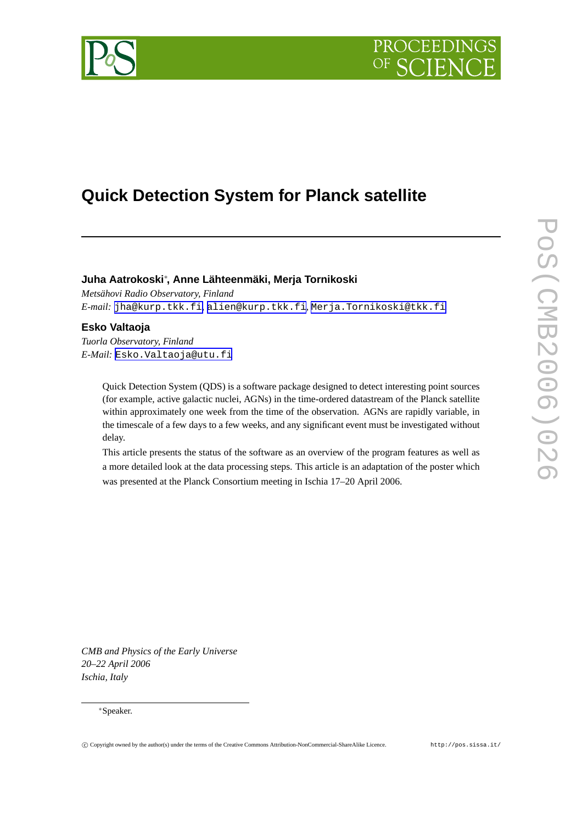



# **Quick Detection System for Planck satellite**

# **Juha Aatrokoski**<sup>∗</sup> **, Anne Lähteenmäki, Merja Tornikoski**

*Metsähovi Radio Observatory, Finland E-mail:* [jha@kurp.tkk.fi](mailto:jha@kurp.tkk.fi)*,* [alien@kurp.tkk.fi](mailto:alien@kurp.tkk.fi)*,* [Merja.Tornikoski@tkk.fi](mailto:Merja.Tornikoski@tkk.fi)

## **Esko Valtaoja**

*Tuorla Observatory, Finland E-Mail:* [Esko.Valtaoja@utu.fi](mailto:Esko.Valtaoja@utu.fi)

> Quick Detection System (QDS) is a software package designed to detect interesting point sources (for example, active galactic nuclei, AGNs) in the time-ordered datastream of the Planck satellite within approximately one week from the time of the observation. AGNs are rapidly variable, in the timescale of a few days to a few weeks, and any significant event must be investigated without delay.

> This article presents the status of the software as an overview of the program features as well as a more detailed look at the data processing steps. This article is an adaptation of the poster which was presented at the Planck Consortium meeting in Ischia 17–20 April 2006.

*CMB and Physics of the Early Universe 20–22 April 2006 Ischia, Italy*

#### <sup>∗</sup>Speaker.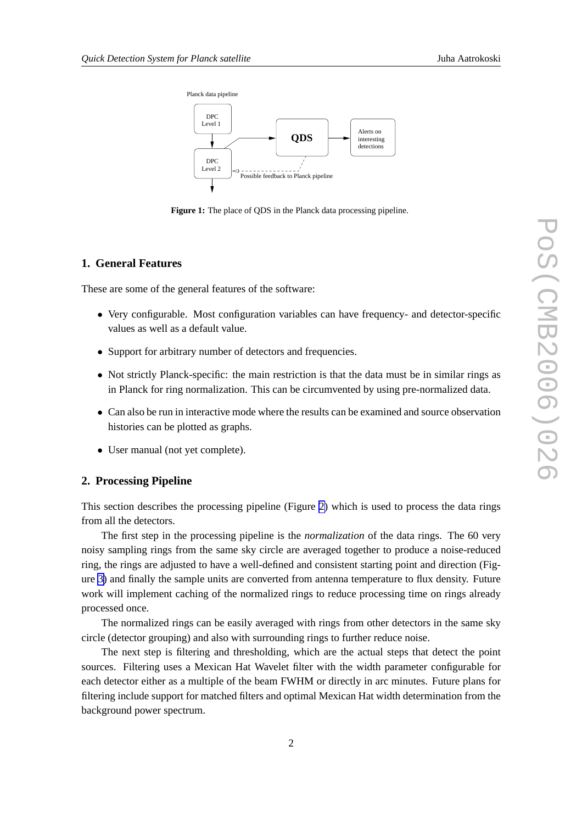

**Figure 1:** The place of ODS in the Planck data processing pipeline.

### **1. General Features**

These are some of the general features of the software:

- Very configurable. Most configuration variables can have frequency- and detector-specific values as well as a default value.
- Support for arbitrary number of detectors and frequencies.
- Not strictly Planck-specific: the main restriction is that the data must be in similar rings as in Planck for ring normalization. This can be circumvented by using pre-normalized data.
- Can also be run in interactive mode where the results can be examined and source observation histories can be plotted as graphs.
- User manual (not yet complete).

#### **2. Processing Pipeline**

This section describes the processing pipeline (Figure [2\)](#page-2-0) which is used to process the data rings from all the detectors.

The first step in the processing pipeline is the *normalization* of the data rings. The 60 very noisy sampling rings from the same sky circle are averaged together to produce a noise-reduced ring, the rings are adjusted to have a well-defined and consistent starting point and direction (Figure [3\)](#page-2-0) and finally the sample units are converted from antenna temperature to flux density. Future work will implement caching of the normalized rings to reduce processing time on rings already processed once.

The normalized rings can be easily averaged with rings from other detectors in the same sky circle (detector grouping) and also with surrounding rings to further reduce noise.

The next step is filtering and thresholding, which are the actual steps that detect the point sources. Filtering uses a Mexican Hat Wavelet filter with the width parameter configurable for each detector either as a multiple of the beam FWHM or directly in arc minutes. Future plans for filtering include support for matched filters and optimal Mexican Hat width determination from the background power spectrum.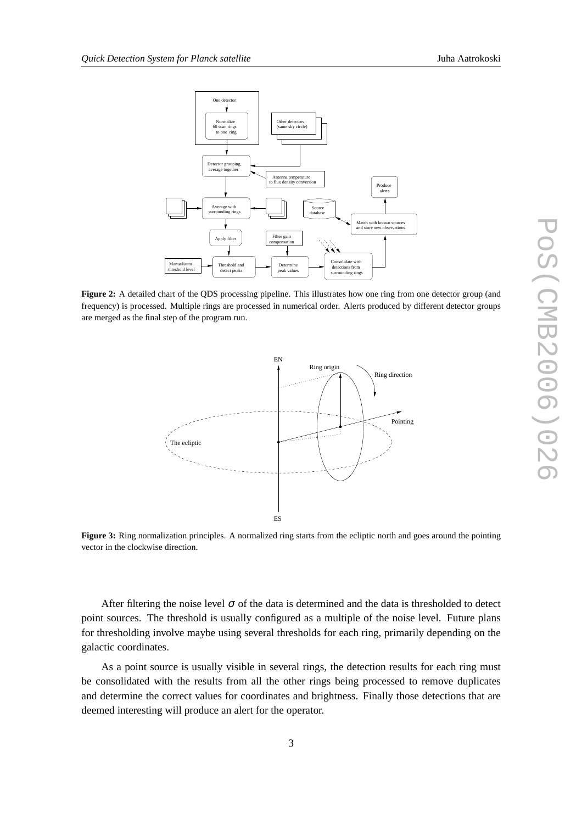

<span id="page-2-0"></span>

**Figure 2:** A detailed chart of the QDS processing pipeline. This illustrates how one ring from one detector group (and frequency) is processed. Multiple rings are processed in numerical order. Alerts produced by different detector groups are merged as the final step of the program run.



**Figure 3:** Ring normalization principles. A normalized ring starts from the ecliptic north and goes around the pointing vector in the clockwise direction.

After filtering the noise level  $\sigma$  of the data is determined and the data is thresholded to detect point sources. The threshold is usually configured as a multiple of the noise level. Future plans for thresholding involve maybe using several thresholds for each ring, primarily depending on the galactic coordinates.

As a point source is usually visible in several rings, the detection results for each ring must be consolidated with the results from all the other rings being processed to remove duplicates and determine the correct values for coordinates and brightness. Finally those detections that are deemed interesting will produce an alert for the operator.